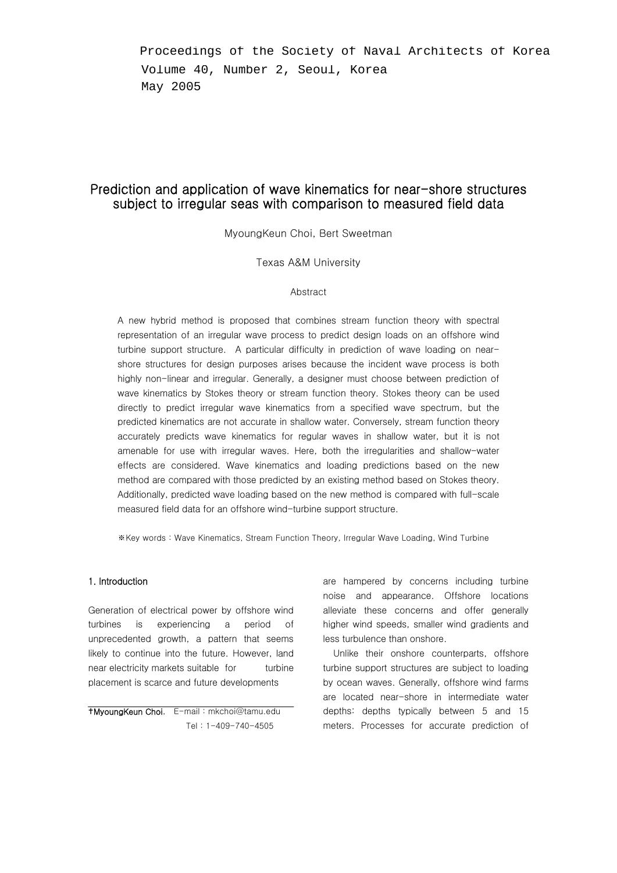Proceedings of the Society of Naval Architects of Korea Volume 40, Number 2, Seoul, Korea May 2005

# Prediction and application of wave kinematics for near-shore structures subject to irregular seas with comparison to measured field data

MyoungKeun Choi, Bert Sweetman

## Texas A&M University

## Abstract

A new hybrid method is proposed that combines stream function theory with spectral representation of an irregular wave process to predict design loads on an offshore wind turbine support structure. A particular difficulty in prediction of wave loading on nearshore structures for design purposes arises because the incident wave process is both highly non-linear and irregular. Generally, a designer must choose between prediction of wave kinematics by Stokes theory or stream function theory. Stokes theory can be used directly to predict irregular wave kinematics from a specified wave spectrum, but the predicted kinematics are not accurate in shallow water. Conversely, stream function theory accurately predicts wave kinematics for regular waves in shallow water, but it is not amenable for use with irregular waves. Here, both the irregularities and shallow-water effects are considered. Wave kinematics and loading predictions based on the new method are compared with those predicted by an existing method based on Stokes theory. Additionally, predicted wave loading based on the new method is compared with full-scale measured field data for an offshore wind-turbine support structure.

※Key words : Wave Kinematics, Stream Function Theory, Irregular Wave Loading, Wind Turbine

Generation of electrical power by offshore wind turbines is experiencing a period of unprecedented growth, a pattern that seems likely to continue into the future. However, land near electricity markets suitable for turbine placement is scarce and future developments

gMyoungKeun Choi, E-mail : mkchoi@tamu.edu 주  $Tel: 1-409-740-4505$ 

1. Introduction **1.** Introduction **are hampered** by concerns including turbine noise and appearance. Offshore locations alleviate these concerns and offer generally higher wind speeds, smaller wind gradients and less turbulence than onshore.

> Unlike their onshore counterparts, offshore turbine support structures are subject to loading by ocean waves. Generally, offshore wind farms are located near-shore in intermediate water depths: depths typically between 5 and 15 meters. Processes for accurate prediction of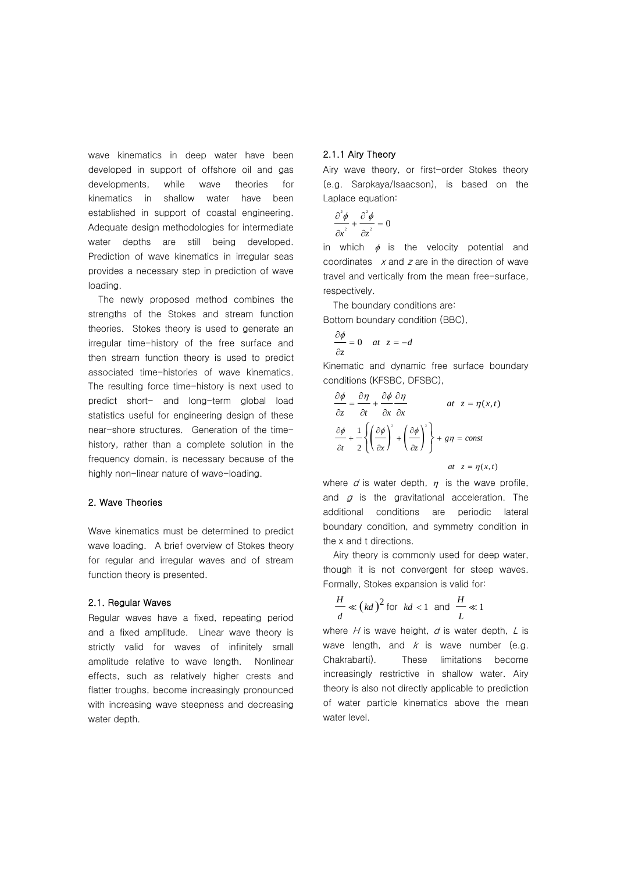wave kinematics in deep water have been developed in support of offshore oil and gas developments, while wave theories for kinematics in shallow water have been established in support of coastal engineering. Adequate design methodologies for intermediate water depths are still being developed. Prediction of wave kinematics in irregular seas provides a necessary step in prediction of wave loading.

The newly proposed method combines the strengths of the Stokes and stream function theories. Stokes theory is used to generate an irregular time-history of the free surface and then stream function theory is used to predict associated time-histories of wave kinematics. The resulting force time-history is next used to predict short- and long-term global load statistics useful for engineering design of these near-shore structures. Generation of the timehistory, rather than a complete solution in the frequency domain, is necessary because of the highly non-linear nature of wave-loading.

#### 2. Wave Theories

Wave kinematics must be determined to predict wave loading. A brief overview of Stokes theory for regular and irregular waves and of stream function theory is presented.

### 2.1. Regular Waves

Regular waves have a fixed, repeating period and a fixed amplitude. Linear wave theory is strictly valid for waves of infinitely small amplitude relative to wave length. Nonlinear effects, such as relatively higher crests and flatter troughs, become increasingly pronounced with increasing wave steepness and decreasing water depth.

## 2.1.1 Airy Theory

Airy wave theory, or first-order Stokes theory (e.g. Sarpkaya/Isaacson), is based on the Laplace equation:

$$
\frac{\partial^2 \phi}{\partial x^2} + \frac{\partial^2 \phi}{\partial z^2} = 0
$$

in which  $\phi$  is the velocity potential and coordinates  $x$  and  $z$  are in the direction of wave travel and vertically from the mean free-surface, respectively.

The boundary conditions are:

Bottom boundary condition (BBC),

$$
\frac{\partial \phi}{\partial z} = 0 \quad at \ z = -d
$$

Kinematic and dynamic free surface boundary conditions (KFSBC, DFSBC),

$$
\frac{\partial \phi}{\partial z} = \frac{\partial \eta}{\partial t} + \frac{\partial \phi}{\partial x} \frac{\partial \eta}{\partial x} \qquad \text{at } z = \eta(x, t)
$$

$$
\frac{\partial \phi}{\partial t} + \frac{1}{2} \left\{ \left( \frac{\partial \phi}{\partial x} \right)^2 + \left( \frac{\partial \phi}{\partial z} \right)^2 \right\} + g\eta = const
$$

$$
\text{at } z = \eta(x, t)
$$

where  $d$  is water depth,  $\eta$  is the wave profile, and  $q$  is the gravitational acceleration. The additional conditions are periodic lateral boundary condition, and symmetry condition in the x and t directions.

Airy theory is commonly used for deep water, though it is not convergent for steep waves. Formally, Stokes expansion is valid for:

$$
\frac{H}{d} \ll \left(kd\right)^2 \text{ for } kd < 1 \text{ and } \frac{H}{L} \ll 1
$$

where  $H$  is wave height,  $d$  is water depth,  $L$  is wave length, and  $k$  is wave number (e.g. Chakrabarti). These limitations become increasingly restrictive in shallow water. Airy theory is also not directly applicable to prediction of water particle kinematics above the mean water level.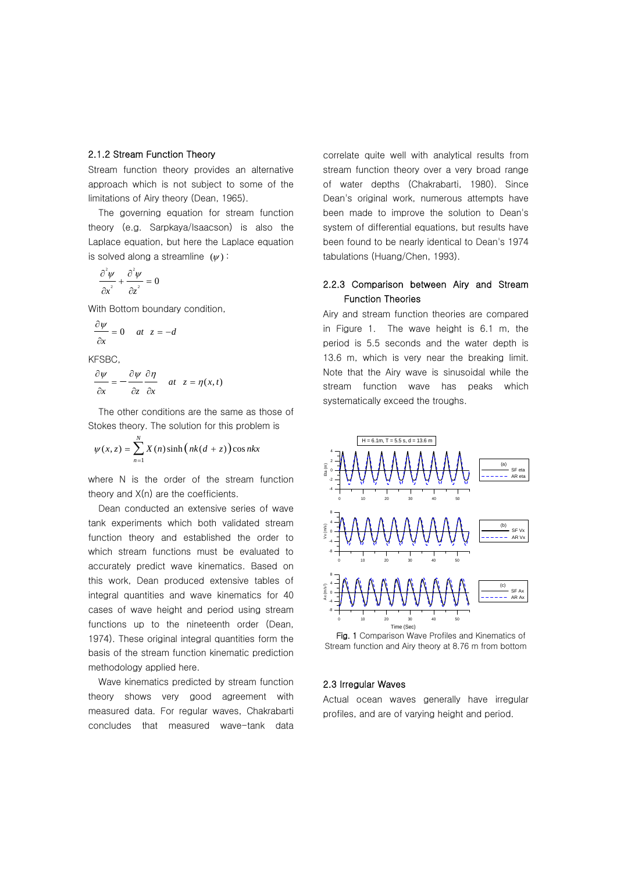## 2.1.2 Stream Function Theory

Stream function theory provides an alternative approach which is not subject to some of the limitations of Airy theory (Dean, 1965).

The governing equation for stream function theory (e.g. Sarpkaya/Isaacson) is also the Laplace equation, but here the Laplace equation is solved along a streamline  $(y)$ :

$$
\frac{\partial^2 \psi}{\partial x^2} + \frac{\partial^2 \psi}{\partial z^2} = 0
$$

With Bottom boundary condition,

$$
\frac{\partial \psi}{\partial x} = 0 \quad at \ z = -d
$$

KFSBC,

$$
\frac{\partial \psi}{\partial x} = -\frac{\partial \psi}{\partial z} \frac{\partial \eta}{\partial x} \quad at \ z = \eta(x, t)
$$

The other conditions are the same as those of Stokes theory. The solution for this problem is

$$
\psi(x, z) = \sum_{n=1}^{N} X(n) \sinh\left(nk(d+z)\right) \cos nx
$$

where N is the order of the stream function theory and X(n) are the coefficients.

Dean conducted an extensive series of wave tank experiments which both validated stream function theory and established the order to which stream functions must be evaluated to accurately predict wave kinematics. Based on this work, Dean produced extensive tables of integral quantities and wave kinematics for 40 cases of wave height and period using stream functions up to the nineteenth order (Dean, 1974). These original integral quantities form the basis of the stream function kinematic prediction methodology applied here.

Wave kinematics predicted by stream function theory shows very good agreement with measured data. For regular waves, Chakrabarti concludes that measured wave-tank data

correlate quite well with analytical results from stream function theory over a very broad range of water depths (Chakrabarti, 1980). Since Dean's original work, numerous attempts have been made to improve the solution to Dean's system of differential equations, but results have been found to be nearly identical to Dean's 1974 tabulations (Huang/Chen, 1993).

## 2.2.3 Comparison between Airy and Stream Function Theories

Airy and stream function theories are compared in Figure 1. The wave height is 6.1 m, the period is 5.5 seconds and the water depth is 13.6 m, which is very near the breaking limit. Note that the Airy wave is sinusoidal while the stream function wave has peaks which systematically exceed the troughs.



Fig. 1 Comparison Wave Profiles and Kinematics of Stream function and Airy theory at 8.76 m from bottom

#### 2.3 Irregular Waves

Actual ocean waves generally have irregular profiles, and are of varying height and period.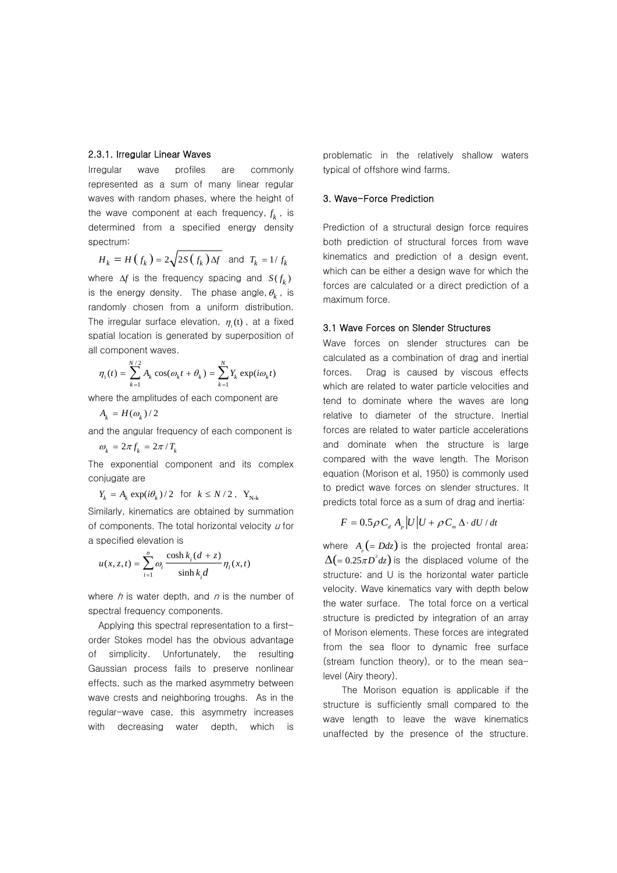## 2.3.1. Irregular Linear Waves

Irregular wave profiles are commonly represented as a sum of many linear regular waves with random phases, where the height of the wave component at each frequency,  $f_k$  , is determined from a specified energy density spectrum:

$$
H_k = H(f_k) = 2\sqrt{2S(f_k)\Delta f} \text{ and } T_k = 1/f_k
$$

where  $\Delta f$  is the frequency spacing and  $S(f_k)$ is the energy density. The phase angle,  $\theta_{\boldsymbol{k}}^{\phantom{\dag}}$  , is randomly chosen from a uniform distribution. The irregular surface elevation,  $\eta_{\rm r}^{}$  (t), at a fixed spatial location is generated by superposition of all component waves.

$$
\eta_1(t) = \sum_{k=1}^{N/2} A_k \cos(\omega_k t + \theta_k) = \sum_{k=1}^{N} Y_k \exp(i\omega_k t)
$$

where the amplitudes of each component are

$$
A_k = H(\omega_k)/2
$$

 $\omega_k = 2\pi f_k = 2\pi / T_k$ and the angular frequency of each component is

The exponential component and its complex conjugate are

$$
Y_k = A_k \exp(i\theta_k) / 2 \text{ for } k \le N/2, \ Y_{N-k}
$$

Similarly, kinematics are obtained by summation of components. The total horizontal velocity  $u$  for a specified elevation is

$$
u(x, z, t) = \sum_{i=1}^{n} \omega_i \frac{\cosh k_i (d+z)}{\sinh k_i d} \eta_i(x, t)
$$

where  $h$  is water depth, and  $n$  is the number of spectral frequency components.

Applying this spectral representation to a firstorder Stokes model has the obvious advantage of simplicity. Unfortunately, the resulting Gaussian process fails to preserve nonlinear effects, such as the marked asymmetry between wave crests and neighboring troughs. As in the regular-wave case, this asymmetry increases with decreasing water depth, which is problematic in the relatively shallow waters typical of offshore wind farms.

## 3. Wave-Force Prediction

Prediction of a structural design force requires both prediction of structural forces from wave kinematics and prediction of a design event, which can be either a design wave for which the forces are calculated or a direct prediction of a maximum force.

#### 3.1 Wave Forces on Slender Structures

Wave forces on slender structures can be calculated as a combination of drag and inertial forces. Drag is caused by viscous effects which are related to water particle velocities and tend to dominate where the waves are long relative to diameter of the structure. Inertial forces are related to water particle accelerations and dominate when the structure is large compared with the wave length. The Morison equation (Morison et al, 1950) is commonly used to predict wave forces on slender structures. It predicts total force as a sum of drag and inertia:

$$
F = 0.5 \rho C_d A_p |U| U + \rho C_m \Delta \cdot dU / dt
$$

where  $A = (b \, dz)$  is the projected frontal area;  $\Delta (= 0.25 \pi D^2 dz)$  is the displaced volume of the structure; and U is the horizontal water particle velocity. Wave kinematics vary with depth below the water surface. The total force on a vertical structure is predicted by integration of an array of Morison elements. These forces are integrated from the sea floor to dynamic free surface (stream function theory), or to the mean sealevel (Airy theory).

 The Morison equation is applicable if the structure is sufficiently small compared to the wave length to leave the wave kinematics unaffected by the presence of the structure.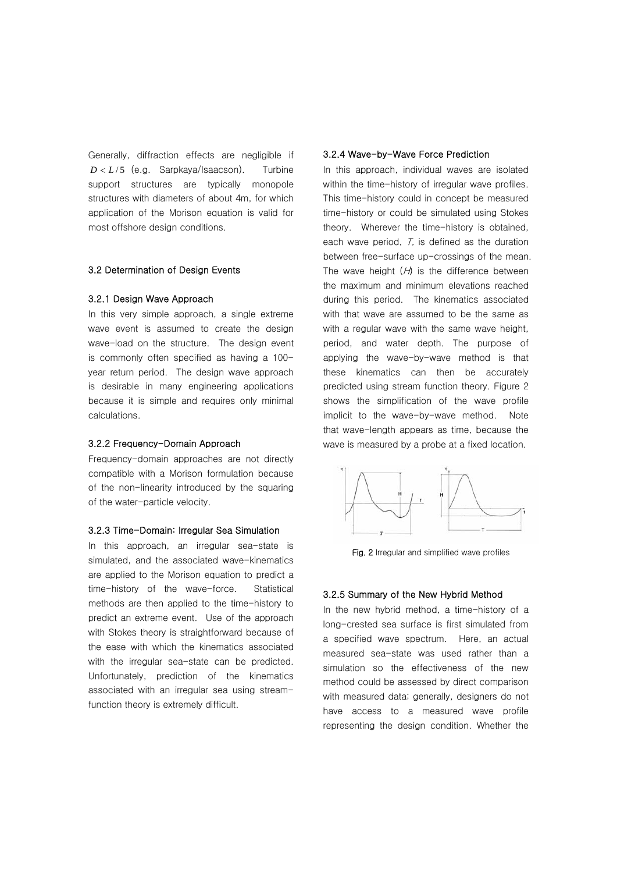Generally, diffraction effects are negligible if  $D < L/5$  (e.g. Sarpkaya/Isaacson). Turbine support structures are typically monopole structures with diameters of about 4m, for which application of the Morison equation is valid for most offshore design conditions.

## 3.2 Determination of Design Events

#### 3.2.1 Design Wave Approach

In this very simple approach, a single extreme wave event is assumed to create the design wave-load on the structure. The design event is commonly often specified as having a 100 year return period. The design wave approach is desirable in many engineering applications because it is simple and requires only minimal calculations.

### 3.2.2 Frequency-Domain Approach

Frequency-domain approaches are not directly compatible with a Morison formulation because of the non-linearity introduced by the squaring of the water-particle velocity.

#### 3.2.3 Time-Domain: Irregular Sea Simulation

In this approach, an irregular sea-state is simulated, and the associated wave-kinematics are applied to the Morison equation to predict a time-history of the wave-force. Statistical methods are then applied to the time-history to predict an extreme event. Use of the approach with Stokes theory is straightforward because of the ease with which the kinematics associated with the irregular sea-state can be predicted. Unfortunately, prediction of the kinematics associated with an irregular sea using streamfunction theory is extremely difficult.

## 3.2.4 Wave-by-Wave Force Prediction

In this approach, individual waves are isolated within the time-history of irregular wave profiles. This time-history could in concept be measured time-history or could be simulated using Stokes theory. Wherever the time-history is obtained, each wave period,  $T$ , is defined as the duration between free-surface up-crossings of the mean. The wave height  $(H)$  is the difference between the maximum and minimum elevations reached during this period. The kinematics associated with that wave are assumed to be the same as with a regular wave with the same wave height, period, and water depth. The purpose of applying the wave-by-wave method is that these kinematics can then be accurately predicted using stream function theory. Figure 2 shows the simplification of the wave profile implicit to the wave-by-wave method. Note that wave-length appears as time, because the wave is measured by a probe at a fixed location.



Fig. 2 Irregular and simplified wave profiles

## 3.2.5 Summary of the New Hybrid Method

In the new hybrid method, a time-history of a long-crested sea surface is first simulated from a specified wave spectrum. Here, an actual measured sea-state was used rather than a simulation so the effectiveness of the new method could be assessed by direct comparison with measured data; generally, designers do not have access to a measured wave profile representing the design condition. Whether the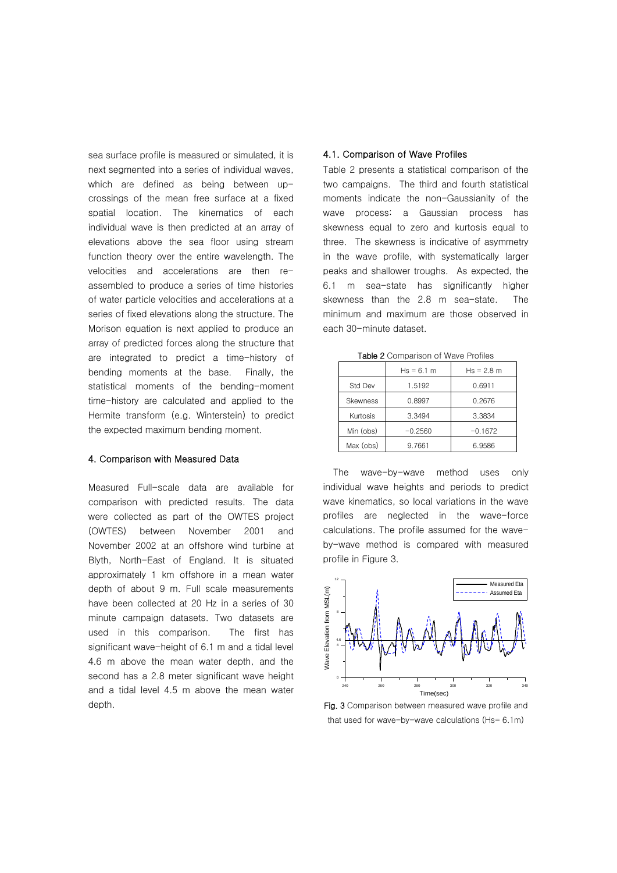sea surface profile is measured or simulated, it is next segmented into a series of individual waves, which are defined as being between upcrossings of the mean free surface at a fixed spatial location. The kinematics of each individual wave is then predicted at an array of elevations above the sea floor using stream function theory over the entire wavelength. The velocities and accelerations are then reassembled to produce a series of time histories of water particle velocities and accelerations at a series of fixed elevations along the structure. The Morison equation is next applied to produce an array of predicted forces along the structure that are integrated to predict a time-history of bending moments at the base. Finally, the statistical moments of the bending-moment time-history are calculated and applied to the Hermite transform (e.g. Winterstein) to predict the expected maximum bending moment.

## 4. Comparison with Measured Data

Measured Full-scale data are available for comparison with predicted results. The data were collected as part of the OWTES project (OWTES) between November 2001 and November 2002 at an offshore wind turbine at Blyth, North-East of England. It is situated approximately 1 km offshore in a mean water depth of about 9 m. Full scale measurements have been collected at 20 Hz in a series of 30 minute campaign datasets. Two datasets are used in this comparison. The first has significant wave-height of 6.1 m and a tidal level 4.6 m above the mean water depth, and the second has a 2.8 meter significant wave height and a tidal level 4.5 m above the mean water depth.

## 4.1. Comparison of Wave Profiles

Table 2 presents a statistical comparison of the two campaigns. The third and fourth statistical moments indicate the non-Gaussianity of the wave process: a Gaussian process has skewness equal to zero and kurtosis equal to three. The skewness is indicative of asymmetry in the wave profile, with systematically larger peaks and shallower troughs. As expected, the 6.1 m sea-state has significantly higher skewness than the 2.8 m sea-state. The minimum and maximum are those observed in each 30-minute dataset.

|                 | $Hs = 6.1 m$ | $Hs = 2.8 m$ |  |  |
|-----------------|--------------|--------------|--|--|
| Std Dev         | 1.5192       | 0.6911       |  |  |
| <b>Skewness</b> | 0.8997       | 0.2676       |  |  |
| Kurtosis        | 3.3494       | 3.3834       |  |  |
| Min (obs)       | $-0.2560$    | $-0.1672$    |  |  |
| Max (obs)       | 9.7661       | 6.9586       |  |  |

Table 2 Comparison of Wave Profiles

The wave-by-wave method uses only individual wave heights and periods to predict wave kinematics, so local variations in the wave profiles are neglected in the wave-force calculations. The profile assumed for the waveby-wave method is compared with measured profile in Figure 3.



Fig. 3 Comparison between measured wave profile and that used for wave-by-wave calculations (Hs= 6.1m)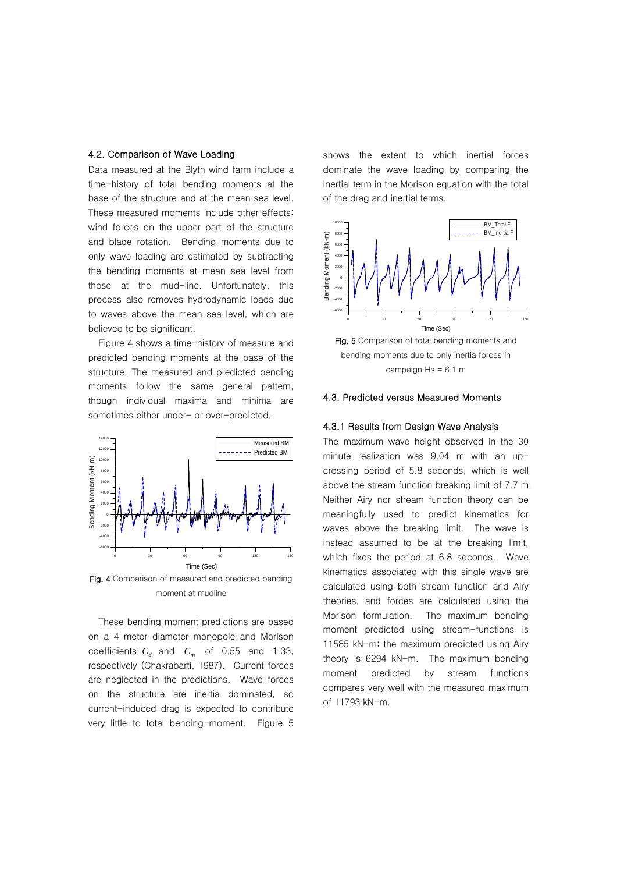## 4.2. Comparison of Wave Loading

Data measured at the Blyth wind farm include a time-history of total bending moments at the base of the structure and at the mean sea level. These measured moments include other effects: wind forces on the upper part of the structure and blade rotation. Bending moments due to only wave loading are estimated by subtracting the bending moments at mean sea level from those at the mud-line. Unfortunately, this process also removes hydrodynamic loads due to waves above the mean sea level, which are believed to be significant.

Figure 4 shows a time-history of measure and predicted bending moments at the base of the structure. The measured and predicted bending moments follow the same general pattern, though individual maxima and minima are sometimes either under- or over-predicted.



Fig. 4 Comparison of measured and predicted bending moment at mudline

These bending moment predictions are based on a 4 meter diameter monopole and Morison coefficients  $C_d$  and  $C_m$  of 0.55 and 1.33, respectively (Chakrabarti, 1987). Current forces are neglected in the predictions. Wave forces on the structure are inertia dominated, so current-induced drag is expected to contribute very little to total bending-moment. Figure 5

shows the extent to which inertial forces dominate the wave loading by comparing the inertial term in the Morison equation with the total of the drag and inertial terms.



campaign  $Hs = 6.1$  m

#### 4.3. Predicted versus Measured Moments

#### 4.3.1 Results from Design Wave Analysis

The maximum wave height observed in the 30 minute realization was 9.04 m with an upcrossing period of 5.8 seconds, which is well above the stream function breaking limit of 7.7 m. Neither Airy nor stream function theory can be meaningfully used to predict kinematics for waves above the breaking limit. The wave is instead assumed to be at the breaking limit, which fixes the period at 6.8 seconds. Wave kinematics associated with this single wave are calculated using both stream function and Airy theories, and forces are calculated using the Morison formulation. The maximum bending moment predicted using stream-functions is 11585 kN-m; the maximum predicted using Airy theory is 6294 kN-m. The maximum bending moment predicted by stream functions compares very well with the measured maximum of 11793 kN-m.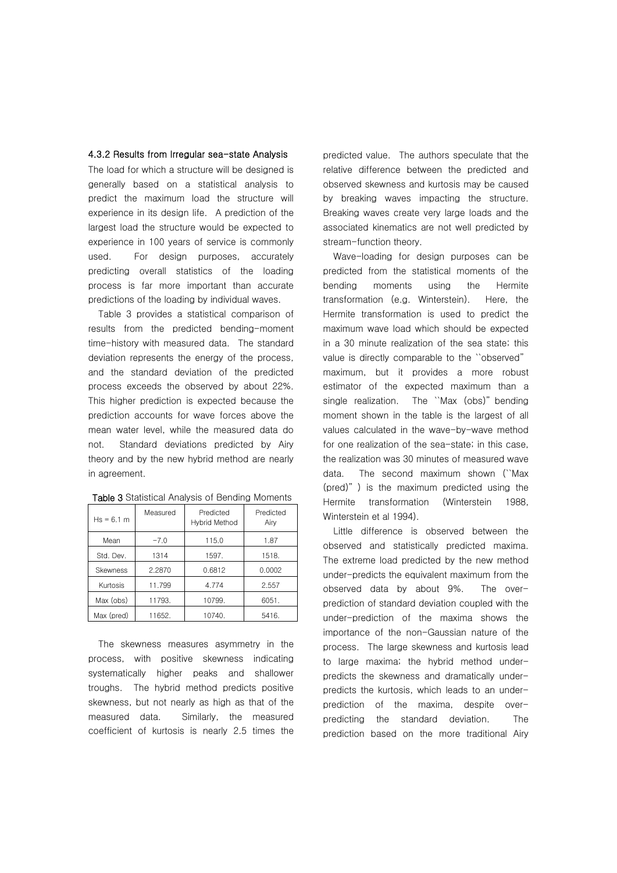## 4.3.2 Results from Irregular sea-state Analysis

The load for which a structure will be designed is generally based on a statistical analysis to predict the maximum load the structure will experience in its design life. A prediction of the largest load the structure would be expected to experience in 100 years of service is commonly used. For design purposes, accurately predicting overall statistics of the loading process is far more important than accurate predictions of the loading by individual waves.

Table 3 provides a statistical comparison of results from the predicted bending-moment time-history with measured data. The standard deviation represents the energy of the process, and the standard deviation of the predicted process exceeds the observed by about 22%. This higher prediction is expected because the prediction accounts for wave forces above the mean water level, while the measured data do not. Standard deviations predicted by Airy theory and by the new hybrid method are nearly in agreement.

| $Hs = 6.1 m$    | Measured | Predicted<br>Hybrid Method | Predicted<br>Airy |
|-----------------|----------|----------------------------|-------------------|
| Mean            | $-7.0$   | 115.0                      | 1.87              |
| Std. Dev.       | 1314     | 1597.                      | 1518.             |
| <b>Skewness</b> | 2.2870   | 0.6812                     | 0.0002            |
| Kurtosis        | 11.799   | 4.774                      | 2.557             |
| Max (obs)       | 11793.   | 10799.                     | 6051.             |
| Max (pred)      | 11652.   | 10740.                     | 5416.             |

Table 3 Statistical Analysis of Bending Moments

The skewness measures asymmetry in the process, with positive skewness indicating systematically higher peaks and shallower troughs. The hybrid method predicts positive skewness, but not nearly as high as that of the measured data. Similarly, the measured coefficient of kurtosis is nearly 2.5 times the

predicted value. The authors speculate that the relative difference between the predicted and observed skewness and kurtosis may be caused by breaking waves impacting the structure. Breaking waves create very large loads and the associated kinematics are not well predicted by stream-function theory.

Wave-loading for design purposes can be predicted from the statistical moments of the bending moments using the Hermite transformation (e.g. Winterstein). Here, the Hermite transformation is used to predict the maximum wave load which should be expected in a 30 minute realization of the sea state; this value is directly comparable to the ``observed" maximum, but it provides a more robust estimator of the expected maximum than a single realization. The ``Max (obs)" bending moment shown in the table is the largest of all values calculated in the wave-by-wave method for one realization of the sea-state; in this case, the realization was 30 minutes of measured wave data. The second maximum shown (``Max (pred)" ) is the maximum predicted using the Hermite transformation (Winterstein 1988, Winterstein et al 1994).

Little difference is observed between the observed and statistically predicted maxima. The extreme load predicted by the new method under-predicts the equivalent maximum from the observed data by about 9%. The overprediction of standard deviation coupled with the under-prediction of the maxima shows the importance of the non-Gaussian nature of the process. The large skewness and kurtosis lead to large maxima; the hybrid method underpredicts the skewness and dramatically underpredicts the kurtosis, which leads to an underprediction of the maxima, despite overpredicting the standard deviation. The prediction based on the more traditional Airy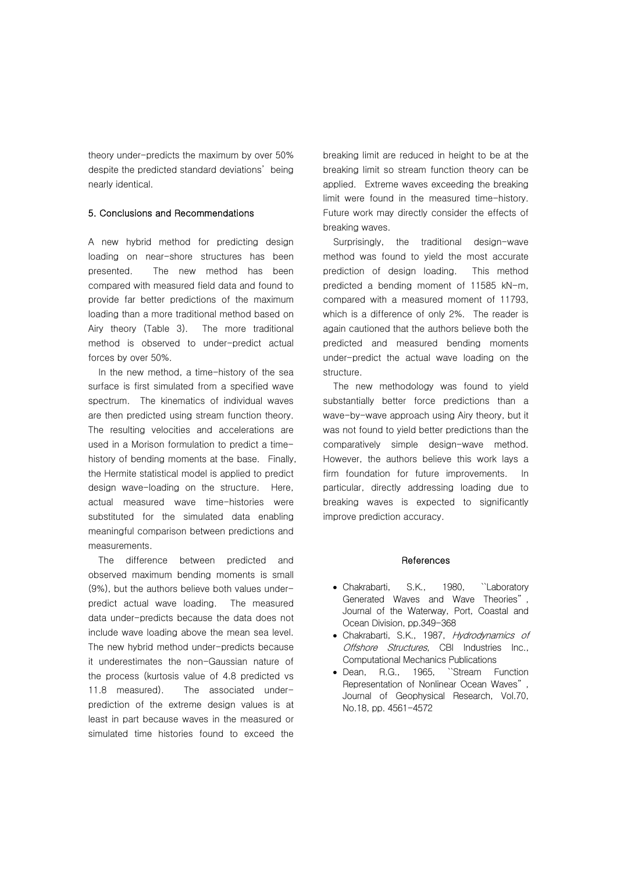theory under-predicts the maximum by over 50% despite the predicted standard deviations' being nearly identical.

## 5. Conclusions and Recommendations

A new hybrid method for predicting design loading on near-shore structures has been presented. The new method has been compared with measured field data and found to provide far better predictions of the maximum loading than a more traditional method based on Airy theory (Table 3). The more traditional method is observed to under-predict actual forces by over 50%.

In the new method, a time-history of the sea surface is first simulated from a specified wave spectrum. The kinematics of individual waves are then predicted using stream function theory. The resulting velocities and accelerations are used in a Morison formulation to predict a timehistory of bending moments at the base. Finally, the Hermite statistical model is applied to predict design wave-loading on the structure. Here, actual measured wave time-histories were substituted for the simulated data enabling meaningful comparison between predictions and measurements.

The difference between predicted and observed maximum bending moments is small (9%), but the authors believe both values underpredict actual wave loading. The measured data under-predicts because the data does not include wave loading above the mean sea level. The new hybrid method under-predicts because it underestimates the non-Gaussian nature of the process (kurtosis value of 4.8 predicted vs 11.8 measured). The associated underprediction of the extreme design values is at least in part because waves in the measured or simulated time histories found to exceed the

breaking limit are reduced in height to be at the breaking limit so stream function theory can be applied. Extreme waves exceeding the breaking limit were found in the measured time-history. Future work may directly consider the effects of breaking waves.

Surprisingly, the traditional design-wave method was found to yield the most accurate prediction of design loading. This method predicted a bending moment of 11585 kN-m, compared with a measured moment of 11793, which is a difference of only 2%. The reader is again cautioned that the authors believe both the predicted and measured bending moments under-predict the actual wave loading on the structure.

The new methodology was found to yield substantially better force predictions than a wave-by-wave approach using Airy theory, but it was not found to yield better predictions than the comparatively simple design-wave method. However, the authors believe this work lays a firm foundation for future improvements. In particular, directly addressing loading due to breaking waves is expected to significantly improve prediction accuracy.

#### **References**

- Chakrabarti, S.K., 1980, ``Laboratory Generated Waves and Wave Theories" , Journal of the Waterway, Port, Coastal and Ocean Division, pp.349-368
- Chakrabarti, S.K., 1987, Hydrodynamics of Offshore Structures, CBI Industries Inc., Computational Mechanics Publications
- Dean, R.G., 1965, ``Stream Function Representation of Nonlinear Ocean Waves" , Journal of Geophysical Research, Vol.70, No.18, pp. 4561-4572